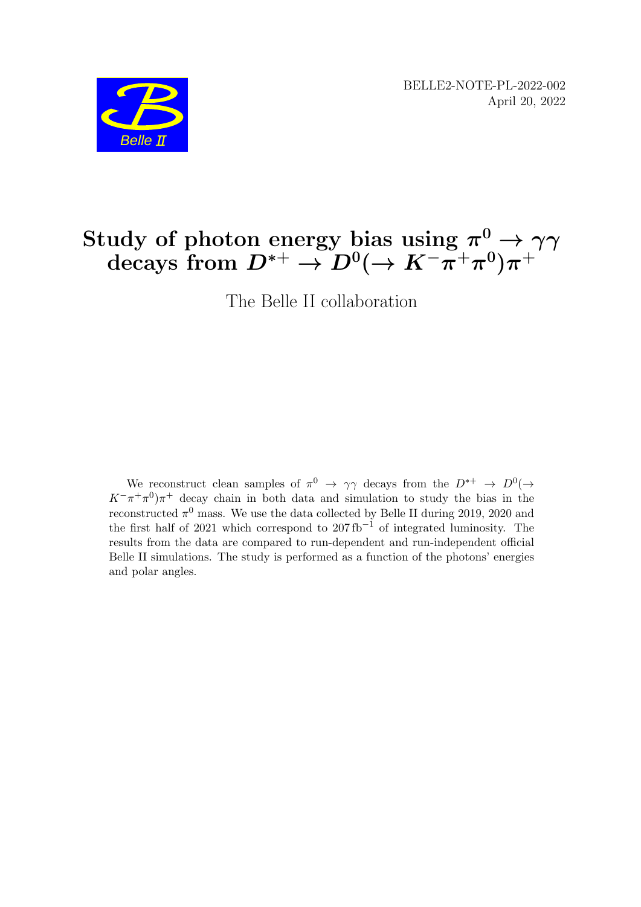BELLE2-NOTE-PL-2022-002 April 20, 2022



# Study of photon energy bias using  $\pi^0 \to \gamma \gamma$  $\mathrm{decays\,\, from}\,\, D^{*+} \rightarrow D^0 (\rightarrow K^- \pi^+ \pi^0) \pi^+$

The Belle II collaboration

We reconstruct clean samples of  $\pi^0 \to \gamma\gamma$  decays from the  $D^{*+} \to D^0(\to \gamma\gamma)$  $K^-\pi^+\pi^0\pi^+$  decay chain in both data and simulation to study the bias in the reconstructed  $\pi^0$  mass. We use the data collected by Belle II during 2019, 2020 and the first half of 2021 which correspond to  $207 \text{ fb}^{-1}$  of integrated luminosity. The results from the data are compared to run-dependent and run-independent official Belle II simulations. The study is performed as a function of the photons' energies and polar angles.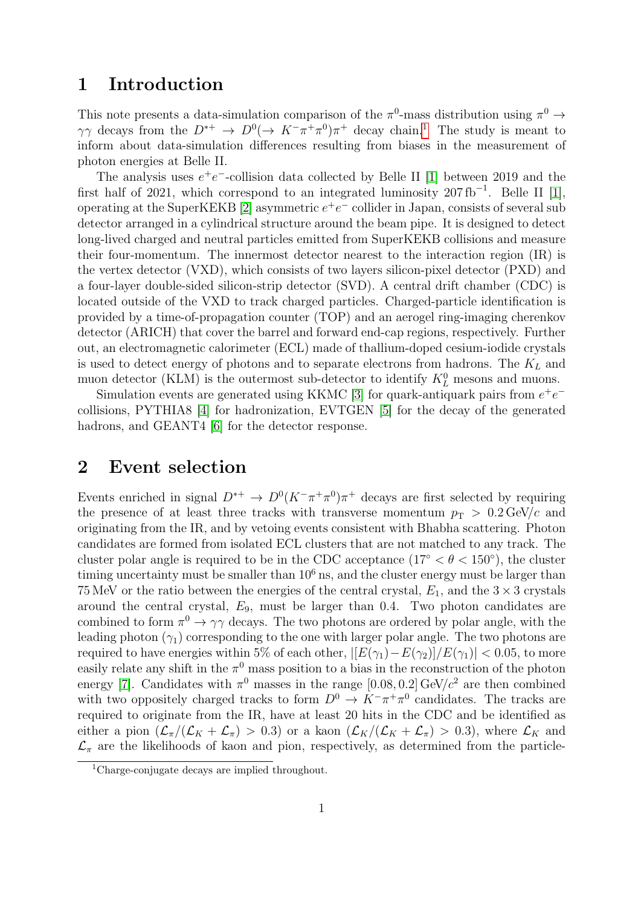#### 1 Introduction

This note presents a data-simulation comparison of the  $\pi^0$ -mass distribution using  $\pi^0 \rightarrow$  $\gamma\gamma$  decays from the  $D^{*+} \to D^{0}(\to K^{-}\pi^{+}\pi^{0})\pi^{+}$  decay chain.<sup>[1](#page-1-0)</sup> The study is meant to inform about data-simulation differences resulting from biases in the measurement of photon energies at Belle II.

The analysis uses  $e^+e^-$ -collision data collected by Belle II [\[1\]](#page-6-0) between 2019 and the first half of 2021, which correspond to an integrated luminosity  $207 \text{ fb}^{-1}$ . Belle II [\[1\]](#page-6-0), operating at the SuperKEKB [\[2\]](#page-6-1) asymmetric  $e^+e^-$  collider in Japan, consists of several sub detector arranged in a cylindrical structure around the beam pipe. It is designed to detect long-lived charged and neutral particles emitted from SuperKEKB collisions and measure their four-momentum. The innermost detector nearest to the interaction region (IR) is the vertex detector (VXD), which consists of two layers silicon-pixel detector (PXD) and a four-layer double-sided silicon-strip detector (SVD). A central drift chamber (CDC) is located outside of the VXD to track charged particles. Charged-particle identification is provided by a time-of-propagation counter (TOP) and an aerogel ring-imaging cherenkov detector (ARICH) that cover the barrel and forward end-cap regions, respectively. Further out, an electromagnetic calorimeter (ECL) made of thallium-doped cesium-iodide crystals is used to detect energy of photons and to separate electrons from hadrons. The  $K_L$  and muon detector (KLM) is the outermost sub-detector to identify  $K<sub>L</sub><sup>0</sup>$  mesons and muons.

Simulation events are generated using KKMC [\[3\]](#page-6-2) for quark-antiquark pairs from  $e^+e^$ collisions, PYTHIA8 [\[4\]](#page-6-3) for hadronization, EVTGEN [\[5\]](#page-6-4) for the decay of the generated hadrons, and GEANT4 [\[6\]](#page-6-5) for the detector response.

#### 2 Event selection

Events enriched in signal  $D^{*+} \to D^0 (K^- \pi^+ \pi^0) \pi^+$  decays are first selected by requiring the presence of at least three tracks with transverse momentum  $p_T > 0.2 \text{ GeV}/c$  and originating from the IR, and by vetoing events consistent with Bhabha scattering. Photon candidates are formed from isolated ECL clusters that are not matched to any track. The cluster polar angle is required to be in the CDC acceptance  $(17° < \theta < 150°)$ , the cluster timing uncertainty must be smaller than  $10<sup>6</sup>$  ns, and the cluster energy must be larger than 75 MeV or the ratio between the energies of the central crystal,  $E_1$ , and the  $3 \times 3$  crystals around the central crystal,  $E_9$ , must be larger than 0.4. Two photon candidates are combined to form  $\pi^0 \to \gamma \gamma$  decays. The two photons are ordered by polar angle, with the leading photon  $(\gamma_1)$  corresponding to the one with larger polar angle. The two photons are required to have energies within 5% of each other,  $|[E(\gamma_1)-E(\gamma_2)]/E(\gamma_1)| < 0.05$ , to more easily relate any shift in the  $\pi^0$  mass position to a bias in the reconstruction of the photon energy [\[7\]](#page-6-6). Candidates with  $\pi^0$  masses in the range [0.08, 0.2] GeV/ $c^2$  are then combined with two oppositely charged tracks to form  $D^0 \to K^-\pi^+\pi^0$  candidates. The tracks are required to originate from the IR, have at least 20 hits in the CDC and be identified as either a pion  $(\mathcal{L}_{\pi}/(\mathcal{L}_K+\mathcal{L}_{\pi})>0.3)$  or a kaon  $(\mathcal{L}_K/(\mathcal{L}_K+\mathcal{L}_{\pi})>0.3)$ , where  $\mathcal{L}_K$  and  $\mathcal{L}_{\pi}$  are the likelihoods of kaon and pion, respectively, as determined from the particle-

<span id="page-1-0"></span><sup>1</sup>Charge-conjugate decays are implied throughout.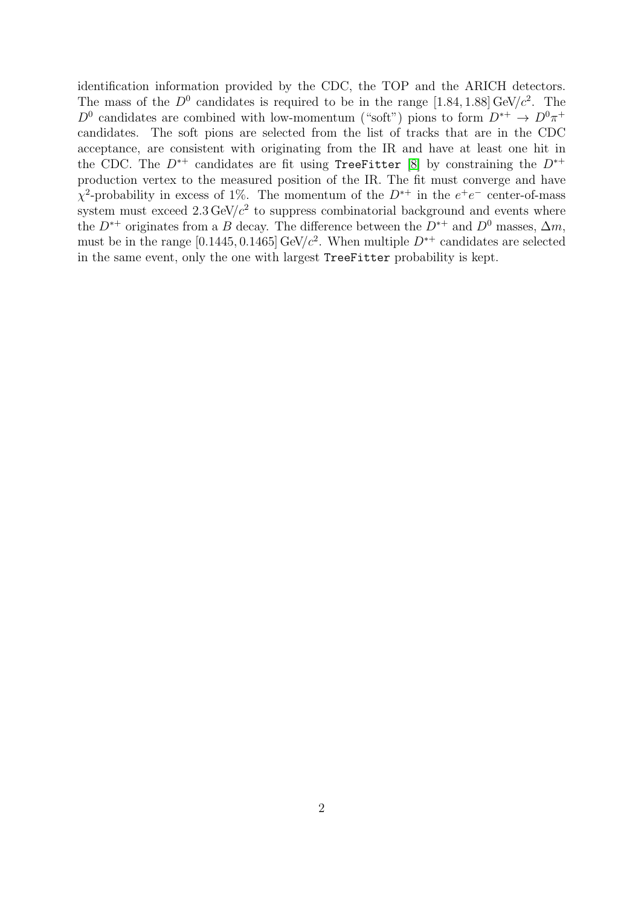identification information provided by the CDC, the TOP and the ARICH detectors. The mass of the  $D^0$  candidates is required to be in the range [1.84, 1.88] GeV/ $c^2$ . The  $D^0$  candidates are combined with low-momentum ("soft") pions to form  $D^{*+} \to D^0 \pi^+$ candidates. The soft pions are selected from the list of tracks that are in the CDC acceptance, are consistent with originating from the IR and have at least one hit in the CDC. The  $D^{*+}$  candidates are fit using TreeFitter [\[8\]](#page-6-7) by constraining the  $D^{*+}$ production vertex to the measured position of the IR. The fit must converge and have  $\chi^2$ -probability in excess of 1%. The momentum of the  $D^{*+}$  in the  $e^+e^-$  center-of-mass system must exceed  $2.3 \text{ GeV}/c^2$  to suppress combinatorial background and events where the  $D^{*+}$  originates from a B decay. The difference between the  $D^{*+}$  and  $D^0$  masses,  $\Delta m$ , must be in the range [0.1445, 0.1465] GeV/ $c^2$ . When multiple  $D^{*+}$  candidates are selected in the same event, only the one with largest TreeFitter probability is kept.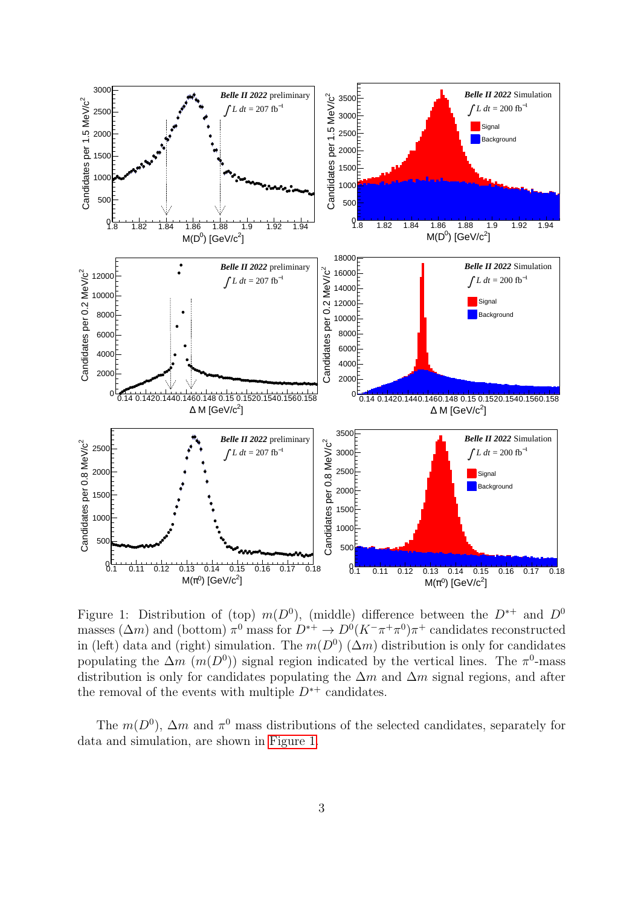

<span id="page-3-0"></span>Figure 1: Distribution of (top)  $m(D^0)$ , (middle) difference between the  $D^{*+}$  and  $D^0$ masses  $(\Delta m)$  and (bottom)  $\pi^0$  mass for  $D^{*+} \to D^0 (K^-\pi^+\pi^0)\pi^+$  candidates reconstructed in (left) data and (right) simulation. The  $m(D^0)$  ( $\Delta m$ ) distribution is only for candidates populating the  $\Delta m$  (m(D<sup>0</sup>)) signal region indicated by the vertical lines. The  $\pi^0$ -mass distribution is only for candidates populating the  $\Delta m$  and  $\Delta m$  signal regions, and after the removal of the events with multiple  $D^{*+}$  candidates.

The  $m(D^0)$ ,  $\Delta m$  and  $\pi^0$  mass distributions of the selected candidates, separately for data and simulation, are shown in [Figure 1.](#page-3-0)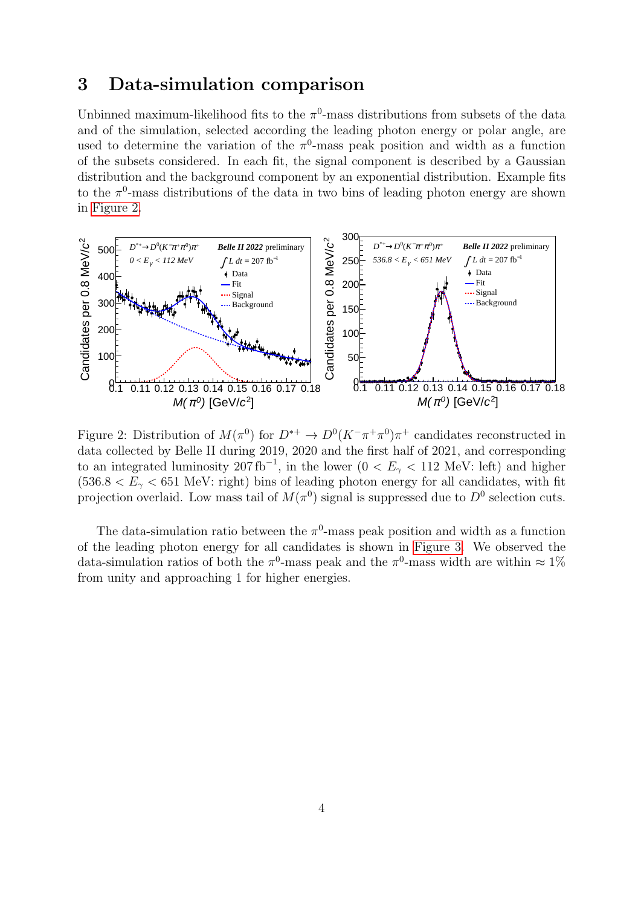### 3 Data-simulation comparison

Unbinned maximum-likelihood fits to the  $\pi$ <sup>0</sup>-mass distributions from subsets of the data and of the simulation, selected according the leading photon energy or polar angle, are used to determine the variation of the  $\pi^0$ -mass peak position and width as a function of the subsets considered. In each fit, the signal component is described by a Gaussian distribution and the background component by an exponential distribution. Example fits to the  $\pi^0$ -mass distributions of the data in two bins of leading photon energy are shown in [Figure 2.](#page-4-0)



<span id="page-4-0"></span>Figure 2: Distribution of  $M(\pi^0)$  for  $D^{*+} \to D^0(K^-\pi^+\pi^0)\pi^+$  candidates reconstructed in data collected by Belle II during 2019, 2020 and the first half of 2021, and corresponding to an integrated luminosity 207 fb<sup>-1</sup>, in the lower (0 <  $E_{\gamma}$  < 112 MeV: left) and higher  $(536.8 < E<sub>2</sub> < 651$  MeV: right) bins of leading photon energy for all candidates, with fit projection overlaid. Low mass tail of  $M(\pi^0)$  signal is suppressed due to  $D^0$  selection cuts.

The data-simulation ratio between the  $\pi^0$ -mass peak position and width as a function of the leading photon energy for all candidates is shown in [Figure 3.](#page-5-0) We observed the data-simulation ratios of both the  $\pi^0$ -mass peak and the  $\pi^0$ -mass width are within  $\approx 1\%$ from unity and approaching 1 for higher energies.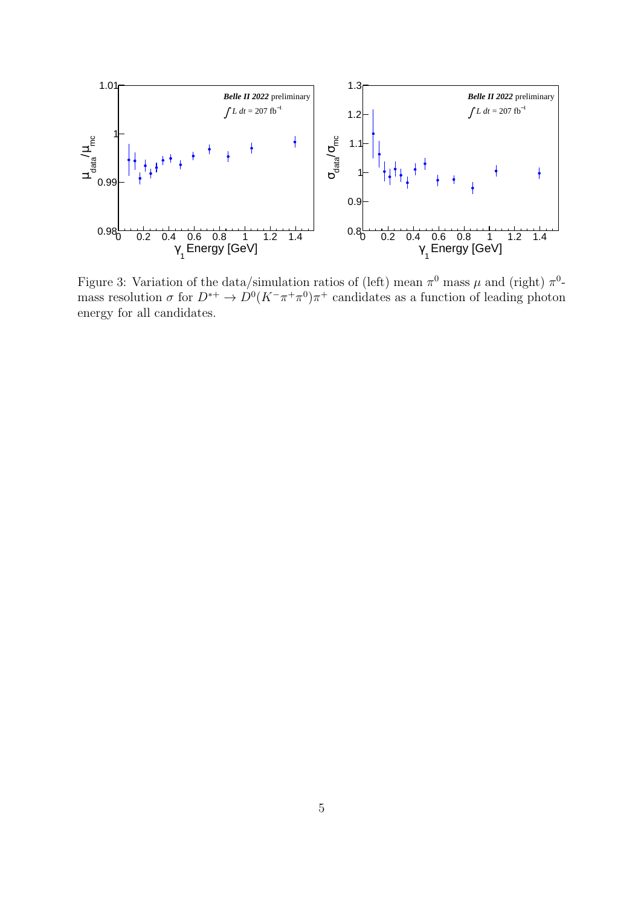

<span id="page-5-0"></span>Figure 3: Variation of the data/simulation ratios of (left) mean  $\pi^0$  mass  $\mu$  and (right)  $\pi^0$ mass resolution  $\sigma$  for  $D^{*+} \to D^0 (K^- \pi^+ \pi^0) \pi^+$  candidates as a function of leading photon energy for all candidates.